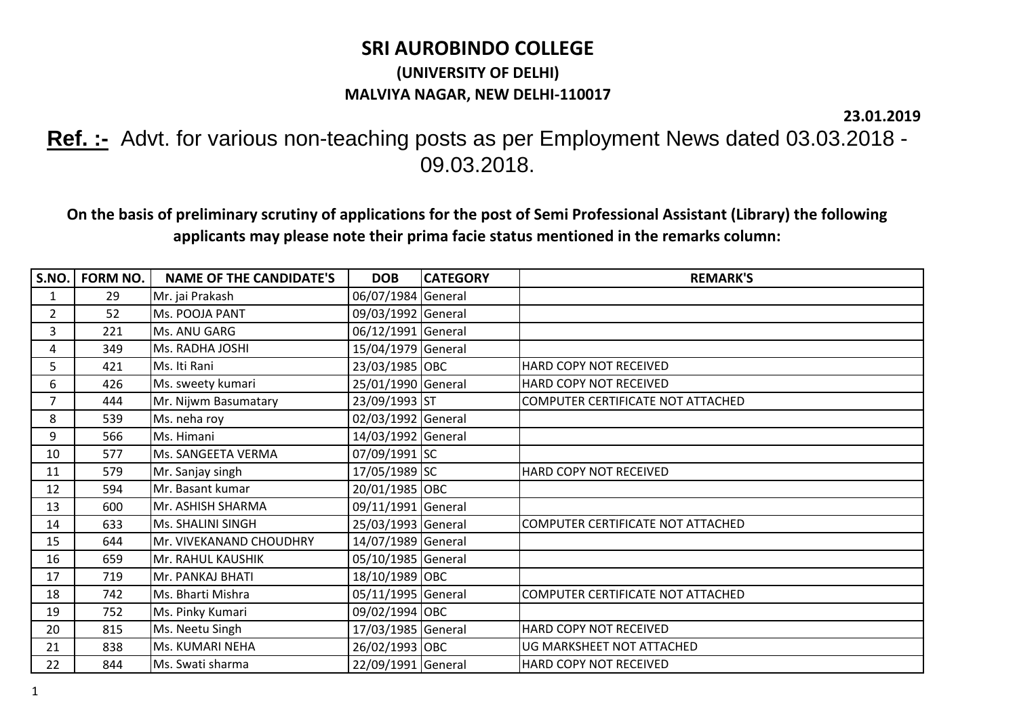## **SRI AUROBINDO COLLEGE (UNIVERSITY OF DELHI) MALVIYA NAGAR, NEW DELHI-110017**

**23.01.2019**

**Ref. :-** Advt. for various non-teaching posts as per Employment News dated 03.03.2018 - 09.03.2018.

**On the basis of preliminary scrutiny of applications for the post of Semi Professional Assistant (Library) the following applicants may please note their prima facie status mentioned in the remarks column:**

| S.NO.          | FORM NO. | <b>NAME OF THE CANDIDATE'S</b> | <b>DOB</b>         | <b>CATEGORY</b> | <b>REMARK'S</b>                   |
|----------------|----------|--------------------------------|--------------------|-----------------|-----------------------------------|
| 1              | 29       | Mr. jai Prakash                | 06/07/1984 General |                 |                                   |
| $\overline{2}$ | 52       | Ms. POOJA PANT                 | 09/03/1992 General |                 |                                   |
| 3              | 221      | Ms. ANU GARG                   | 06/12/1991 General |                 |                                   |
| 4              | 349      | Ms. RADHA JOSHI                | 15/04/1979 General |                 |                                   |
| 5              | 421      | Ms. Iti Rani                   | 23/03/1985 OBC     |                 | HARD COPY NOT RECEIVED            |
| 6              | 426      | Ms. sweety kumari              | 25/01/1990 General |                 | HARD COPY NOT RECEIVED            |
| 7              | 444      | Mr. Nijwm Basumatary           | 23/09/1993 ST      |                 | COMPUTER CERTIFICATE NOT ATTACHED |
| 8              | 539      | Ms. neha roy                   | 02/03/1992 General |                 |                                   |
| 9              | 566      | Ms. Himani                     | 14/03/1992 General |                 |                                   |
| 10             | 577      | Ms. SANGEETA VERMA             | 07/09/1991 SC      |                 |                                   |
| 11             | 579      | Mr. Sanjay singh               | 17/05/1989 SC      |                 | HARD COPY NOT RECEIVED            |
| 12             | 594      | Mr. Basant kumar               | 20/01/1985 OBC     |                 |                                   |
| 13             | 600      | Mr. ASHISH SHARMA              | 09/11/1991 General |                 |                                   |
| 14             | 633      | Ms. SHALINI SINGH              | 25/03/1993 General |                 | COMPUTER CERTIFICATE NOT ATTACHED |
| 15             | 644      | Mr. VIVEKANAND CHOUDHRY        | 14/07/1989 General |                 |                                   |
| 16             | 659      | Mr. RAHUL KAUSHIK              | 05/10/1985 General |                 |                                   |
| 17             | 719      | Mr. PANKAJ BHATI               | 18/10/1989 OBC     |                 |                                   |
| 18             | 742      | Ms. Bharti Mishra              | 05/11/1995 General |                 | COMPUTER CERTIFICATE NOT ATTACHED |
| 19             | 752      | Ms. Pinky Kumari               | 09/02/1994 OBC     |                 |                                   |
| 20             | 815      | Ms. Neetu Singh                | 17/03/1985 General |                 | HARD COPY NOT RECEIVED            |
| 21             | 838      | Ms. KUMARI NEHA                | 26/02/1993 OBC     |                 | UG MARKSHEET NOT ATTACHED         |
| 22             | 844      | Ms. Swati sharma               | 22/09/1991 General |                 | HARD COPY NOT RECEIVED            |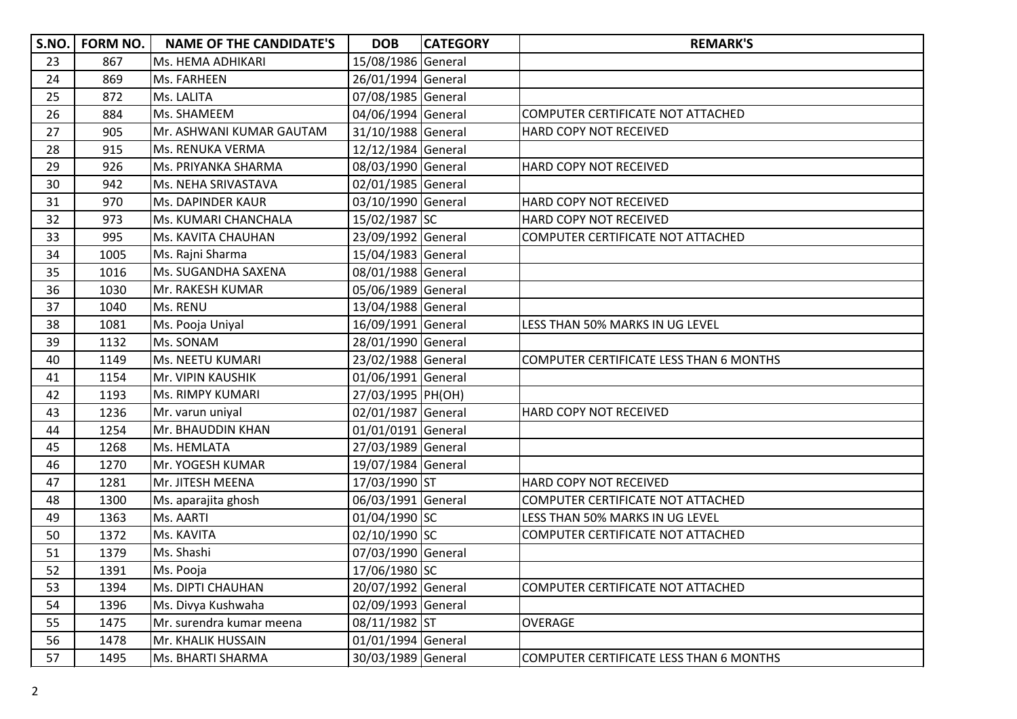| S.NO. | <b>FORM NO.</b> | <b>NAME OF THE CANDIDATE'S</b> | <b>DOB</b>         | <b>CATEGORY</b> | <b>REMARK'S</b>                         |
|-------|-----------------|--------------------------------|--------------------|-----------------|-----------------------------------------|
| 23    | 867             | Ms. HEMA ADHIKARI              | 15/08/1986 General |                 |                                         |
| 24    | 869             | Ms. FARHEEN                    | 26/01/1994 General |                 |                                         |
| 25    | 872             | Ms. LALITA                     | 07/08/1985 General |                 |                                         |
| 26    | 884             | Ms. SHAMEEM                    | 04/06/1994 General |                 | COMPUTER CERTIFICATE NOT ATTACHED       |
| 27    | 905             | Mr. ASHWANI KUMAR GAUTAM       | 31/10/1988 General |                 | HARD COPY NOT RECEIVED                  |
| 28    | 915             | Ms. RENUKA VERMA               | 12/12/1984 General |                 |                                         |
| 29    | 926             | Ms. PRIYANKA SHARMA            | 08/03/1990 General |                 | HARD COPY NOT RECEIVED                  |
| 30    | 942             | Ms. NEHA SRIVASTAVA            | 02/01/1985 General |                 |                                         |
| 31    | 970             | Ms. DAPINDER KAUR              | 03/10/1990 General |                 | HARD COPY NOT RECEIVED                  |
| 32    | 973             | Ms. KUMARI CHANCHALA           | 15/02/1987 SC      |                 | HARD COPY NOT RECEIVED                  |
| 33    | 995             | Ms. KAVITA CHAUHAN             | 23/09/1992 General |                 | COMPUTER CERTIFICATE NOT ATTACHED       |
| 34    | 1005            | Ms. Rajni Sharma               | 15/04/1983 General |                 |                                         |
| 35    | 1016            | Ms. SUGANDHA SAXENA            | 08/01/1988 General |                 |                                         |
| 36    | 1030            | Mr. RAKESH KUMAR               | 05/06/1989 General |                 |                                         |
| 37    | 1040            | Ms. RENU                       | 13/04/1988 General |                 |                                         |
| 38    | 1081            | Ms. Pooja Uniyal               | 16/09/1991 General |                 | LESS THAN 50% MARKS IN UG LEVEL         |
| 39    | 1132            | Ms. SONAM                      | 28/01/1990 General |                 |                                         |
| 40    | 1149            | Ms. NEETU KUMARI               | 23/02/1988 General |                 | COMPUTER CERTIFICATE LESS THAN 6 MONTHS |
| 41    | 1154            | Mr. VIPIN KAUSHIK              | 01/06/1991 General |                 |                                         |
| 42    | 1193            | <b>Ms. RIMPY KUMARI</b>        | 27/03/1995 PH(OH)  |                 |                                         |
| 43    | 1236            | Mr. varun uniyal               | 02/01/1987 General |                 | HARD COPY NOT RECEIVED                  |
| 44    | 1254            | Mr. BHAUDDIN KHAN              | 01/01/0191 General |                 |                                         |
| 45    | 1268            | Ms. HEMLATA                    | 27/03/1989 General |                 |                                         |
| 46    | 1270            | Mr. YOGESH KUMAR               | 19/07/1984 General |                 |                                         |
| 47    | 1281            | Mr. JITESH MEENA               | 17/03/1990 ST      |                 | HARD COPY NOT RECEIVED                  |
| 48    | 1300            | Ms. aparajita ghosh            | 06/03/1991 General |                 | COMPUTER CERTIFICATE NOT ATTACHED       |
| 49    | 1363            | Ms. AARTI                      | 01/04/1990 SC      |                 | LESS THAN 50% MARKS IN UG LEVEL         |
| 50    | 1372            | Ms. KAVITA                     | 02/10/1990 SC      |                 | COMPUTER CERTIFICATE NOT ATTACHED       |
| 51    | 1379            | Ms. Shashi                     | 07/03/1990 General |                 |                                         |
| 52    | 1391            | Ms. Pooja                      | 17/06/1980 SC      |                 |                                         |
| 53    | 1394            | Ms. DIPTI CHAUHAN              | 20/07/1992 General |                 | COMPUTER CERTIFICATE NOT ATTACHED       |
| 54    | 1396            | Ms. Divya Kushwaha             | 02/09/1993 General |                 |                                         |
| 55    | 1475            | Mr. surendra kumar meena       | 08/11/1982 ST      |                 | <b>OVERAGE</b>                          |
| 56    | 1478            | Mr. KHALIK HUSSAIN             | 01/01/1994 General |                 |                                         |
| 57    | 1495            | Ms. BHARTI SHARMA              | 30/03/1989 General |                 | COMPUTER CERTIFICATE LESS THAN 6 MONTHS |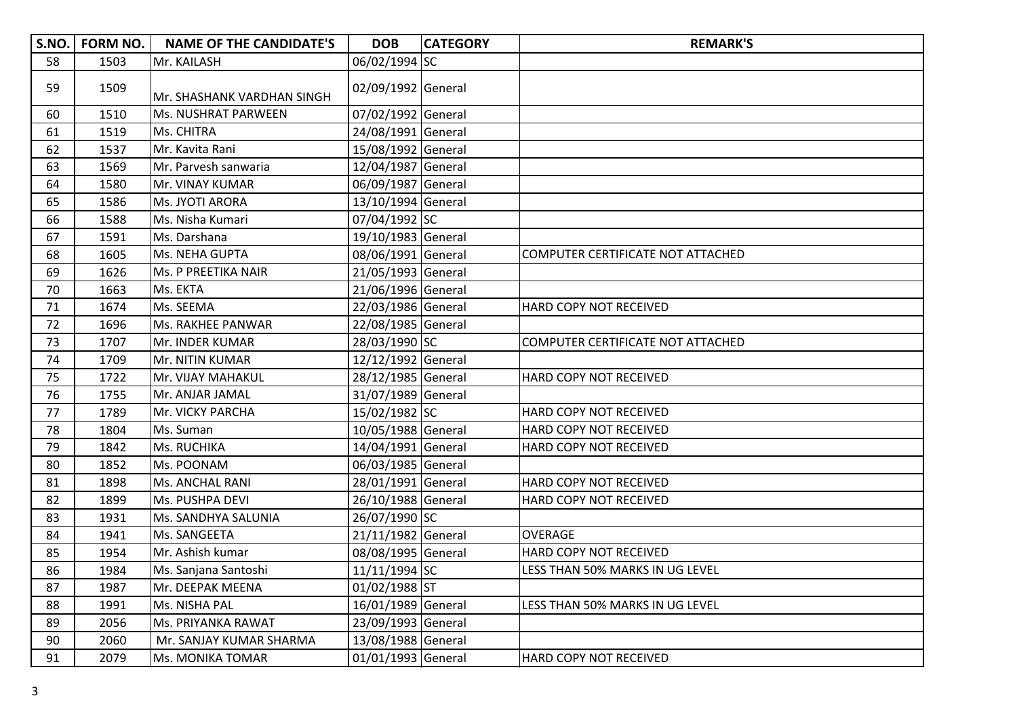|    | S.NO.   FORM NO. | <b>NAME OF THE CANDIDATE'S</b> | <b>DOB</b>         | <b>CATEGORY</b> | <b>REMARK'S</b>                   |
|----|------------------|--------------------------------|--------------------|-----------------|-----------------------------------|
| 58 | 1503             | Mr. KAILASH                    | 06/02/1994 SC      |                 |                                   |
| 59 | 1509             | Mr. SHASHANK VARDHAN SINGH     | 02/09/1992 General |                 |                                   |
| 60 | 1510             | Ms. NUSHRAT PARWEEN            | 07/02/1992 General |                 |                                   |
| 61 | 1519             | Ms. CHITRA                     | 24/08/1991 General |                 |                                   |
| 62 | 1537             | Mr. Kavita Rani                | 15/08/1992 General |                 |                                   |
| 63 | 1569             | Mr. Parvesh sanwaria           | 12/04/1987 General |                 |                                   |
| 64 | 1580             | Mr. VINAY KUMAR                | 06/09/1987 General |                 |                                   |
| 65 | 1586             | Ms. JYOTI ARORA                | 13/10/1994 General |                 |                                   |
| 66 | 1588             | Ms. Nisha Kumari               | 07/04/1992 SC      |                 |                                   |
| 67 | 1591             | Ms. Darshana                   | 19/10/1983 General |                 |                                   |
| 68 | 1605             | Ms. NEHA GUPTA                 | 08/06/1991 General |                 | COMPUTER CERTIFICATE NOT ATTACHED |
| 69 | 1626             | Ms. P PREETIKA NAIR            | 21/05/1993 General |                 |                                   |
| 70 | 1663             | Ms. EKTA                       | 21/06/1996 General |                 |                                   |
| 71 | 1674             | Ms. SEEMA                      | 22/03/1986 General |                 | HARD COPY NOT RECEIVED            |
| 72 | 1696             | Ms. RAKHEE PANWAR              | 22/08/1985 General |                 |                                   |
| 73 | 1707             | Mr. INDER KUMAR                | 28/03/1990 SC      |                 | COMPUTER CERTIFICATE NOT ATTACHED |
| 74 | 1709             | Mr. NITIN KUMAR                | 12/12/1992 General |                 |                                   |
| 75 | 1722             | Mr. VIJAY MAHAKUL              | 28/12/1985 General |                 | HARD COPY NOT RECEIVED            |
| 76 | 1755             | Mr. ANJAR JAMAL                | 31/07/1989 General |                 |                                   |
| 77 | 1789             | Mr. VICKY PARCHA               | 15/02/1982 SC      |                 | HARD COPY NOT RECEIVED            |
| 78 | 1804             | Ms. Suman                      | 10/05/1988 General |                 | HARD COPY NOT RECEIVED            |
| 79 | 1842             | Ms. RUCHIKA                    | 14/04/1991 General |                 | HARD COPY NOT RECEIVED            |
| 80 | 1852             | Ms. POONAM                     | 06/03/1985 General |                 |                                   |
| 81 | 1898             | Ms. ANCHAL RANI                | 28/01/1991 General |                 | HARD COPY NOT RECEIVED            |
| 82 | 1899             | Ms. PUSHPA DEVI                | 26/10/1988 General |                 | HARD COPY NOT RECEIVED            |
| 83 | 1931             | Ms. SANDHYA SALUNIA            | 26/07/1990 SC      |                 |                                   |
| 84 | 1941             | Ms. SANGEETA                   | 21/11/1982 General |                 | <b>OVERAGE</b>                    |
| 85 | 1954             | Mr. Ashish kumar               | 08/08/1995 General |                 | HARD COPY NOT RECEIVED            |
| 86 | 1984             | Ms. Sanjana Santoshi           | 11/11/1994 SC      |                 | LESS THAN 50% MARKS IN UG LEVEL   |
| 87 | 1987             | Mr. DEEPAK MEENA               | 01/02/1988 ST      |                 |                                   |
| 88 | 1991             | Ms. NISHA PAL                  | 16/01/1989 General |                 | LESS THAN 50% MARKS IN UG LEVEL   |
| 89 | 2056             | Ms. PRIYANKA RAWAT             | 23/09/1993 General |                 |                                   |
| 90 | 2060             | Mr. SANJAY KUMAR SHARMA        | 13/08/1988 General |                 |                                   |
| 91 | 2079             | Ms. MONIKA TOMAR               | 01/01/1993 General |                 | <b>HARD COPY NOT RECEIVED</b>     |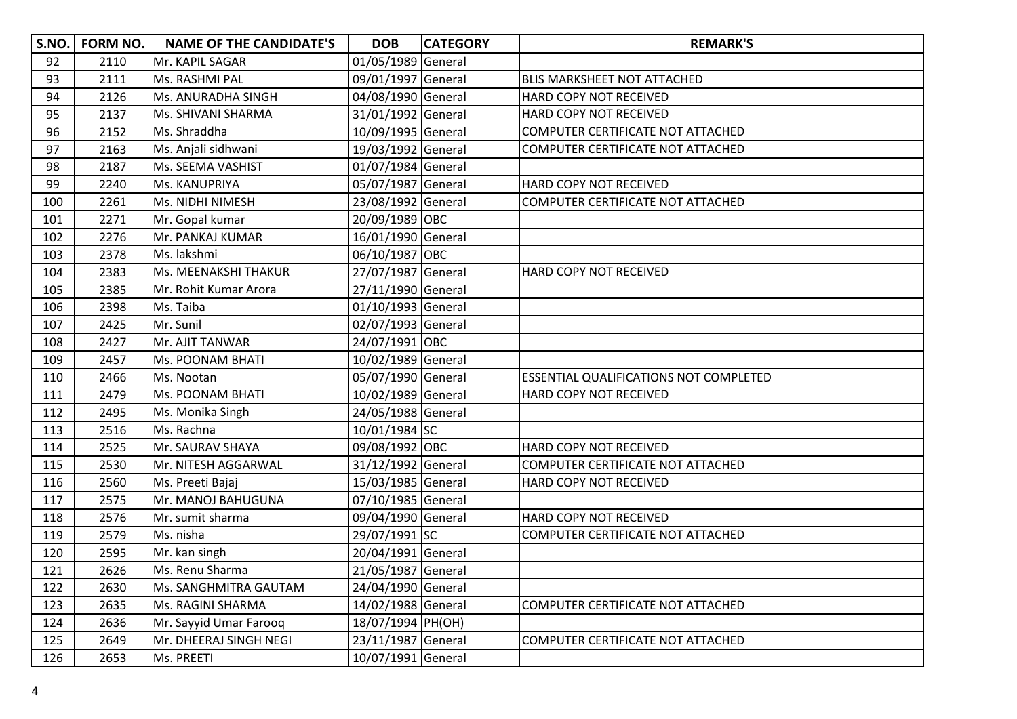|     | S.NO.   FORM NO. | <b>NAME OF THE CANDIDATE'S</b> | <b>DOB</b>         | <b>CATEGORY</b> | <b>REMARK'S</b>                               |
|-----|------------------|--------------------------------|--------------------|-----------------|-----------------------------------------------|
| 92  | 2110             | Mr. KAPIL SAGAR                | 01/05/1989 General |                 |                                               |
| 93  | 2111             | Ms. RASHMI PAL                 | 09/01/1997 General |                 | <b>BLIS MARKSHEET NOT ATTACHED</b>            |
| 94  | 2126             | Ms. ANURADHA SINGH             | 04/08/1990 General |                 | HARD COPY NOT RECEIVED                        |
| 95  | 2137             | Ms. SHIVANI SHARMA             | 31/01/1992 General |                 | HARD COPY NOT RECEIVED                        |
| 96  | 2152             | Ms. Shraddha                   | 10/09/1995 General |                 | COMPUTER CERTIFICATE NOT ATTACHED             |
| 97  | 2163             | Ms. Anjali sidhwani            | 19/03/1992 General |                 | COMPUTER CERTIFICATE NOT ATTACHED             |
| 98  | 2187             | Ms. SEEMA VASHIST              | 01/07/1984 General |                 |                                               |
| 99  | 2240             | Ms. KANUPRIYA                  | 05/07/1987 General |                 | HARD COPY NOT RECEIVED                        |
| 100 | 2261             | Ms. NIDHI NIMESH               | 23/08/1992 General |                 | COMPUTER CERTIFICATE NOT ATTACHED             |
| 101 | 2271             | Mr. Gopal kumar                | 20/09/1989 OBC     |                 |                                               |
| 102 | 2276             | Mr. PANKAJ KUMAR               | 16/01/1990 General |                 |                                               |
| 103 | 2378             | Ms. lakshmi                    | 06/10/1987 OBC     |                 |                                               |
| 104 | 2383             | Ms. MEENAKSHI THAKUR           | 27/07/1987 General |                 | HARD COPY NOT RECEIVED                        |
| 105 | 2385             | Mr. Rohit Kumar Arora          | 27/11/1990 General |                 |                                               |
| 106 | 2398             | Ms. Taiba                      | 01/10/1993 General |                 |                                               |
| 107 | 2425             | Mr. Sunil                      | 02/07/1993 General |                 |                                               |
| 108 | 2427             | Mr. AJIT TANWAR                | 24/07/1991 OBC     |                 |                                               |
| 109 | 2457             | <b>Ms. POONAM BHATI</b>        | 10/02/1989 General |                 |                                               |
| 110 | 2466             | Ms. Nootan                     | 05/07/1990 General |                 | <b>ESSENTIAL QUALIFICATIONS NOT COMPLETED</b> |
| 111 | 2479             | Ms. POONAM BHATI               | 10/02/1989 General |                 | <b>HARD COPY NOT RECEIVED</b>                 |
| 112 | 2495             | Ms. Monika Singh               | 24/05/1988 General |                 |                                               |
| 113 | 2516             | Ms. Rachna                     | 10/01/1984 SC      |                 |                                               |
| 114 | 2525             | Mr. SAURAV SHAYA               | 09/08/1992 OBC     |                 | HARD COPY NOT RECEIVED                        |
| 115 | 2530             | Mr. NITESH AGGARWAL            | 31/12/1992 General |                 | COMPUTER CERTIFICATE NOT ATTACHED             |
| 116 | 2560             | Ms. Preeti Bajaj               | 15/03/1985 General |                 | HARD COPY NOT RECEIVED                        |
| 117 | 2575             | Mr. MANOJ BAHUGUNA             | 07/10/1985 General |                 |                                               |
| 118 | 2576             | Mr. sumit sharma               | 09/04/1990 General |                 | HARD COPY NOT RECEIVED                        |
| 119 | 2579             | Ms. nisha                      | 29/07/1991 SC      |                 | COMPUTER CERTIFICATE NOT ATTACHED             |
| 120 | 2595             | Mr. kan singh                  | 20/04/1991 General |                 |                                               |
| 121 | 2626             | Ms. Renu Sharma                | 21/05/1987 General |                 |                                               |
| 122 | 2630             | Ms. SANGHMITRA GAUTAM          | 24/04/1990 General |                 |                                               |
| 123 | 2635             | Ms. RAGINI SHARMA              | 14/02/1988 General |                 | COMPUTER CERTIFICATE NOT ATTACHED             |
| 124 | 2636             | Mr. Sayyid Umar Farooq         | 18/07/1994 PH(OH)  |                 |                                               |
| 125 | 2649             | Mr. DHEERAJ SINGH NEGI         | 23/11/1987 General |                 | COMPUTER CERTIFICATE NOT ATTACHED             |
| 126 | 2653             | Ms. PREETI                     | 10/07/1991 General |                 |                                               |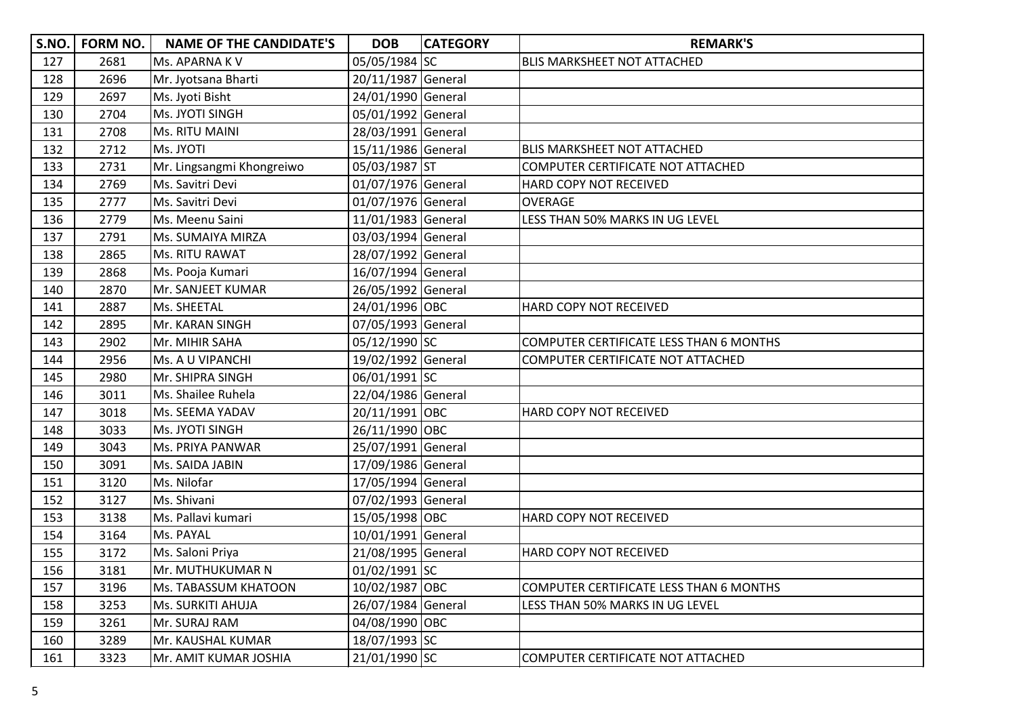| <b>S.NO.</b> | <b>FORM NO.</b> | <b>NAME OF THE CANDIDATE'S</b> | <b>DOB</b>         | <b>CATEGORY</b> | <b>REMARK'S</b>                                |
|--------------|-----------------|--------------------------------|--------------------|-----------------|------------------------------------------------|
| 127          | 2681            | Ms. APARNA KV                  | 05/05/1984 SC      |                 | <b>BLIS MARKSHEET NOT ATTACHED</b>             |
| 128          | 2696            | Mr. Jyotsana Bharti            | 20/11/1987 General |                 |                                                |
| 129          | 2697            | Ms. Jyoti Bisht                | 24/01/1990 General |                 |                                                |
| 130          | 2704            | Ms. JYOTI SINGH                | 05/01/1992 General |                 |                                                |
| 131          | 2708            | Ms. RITU MAINI                 | 28/03/1991 General |                 |                                                |
| 132          | 2712            | Ms. JYOTI                      | 15/11/1986 General |                 | <b>BLIS MARKSHEET NOT ATTACHED</b>             |
| 133          | 2731            | Mr. Lingsangmi Khongreiwo      | 05/03/1987 ST      |                 | COMPUTER CERTIFICATE NOT ATTACHED              |
| 134          | 2769            | Ms. Savitri Devi               | 01/07/1976 General |                 | HARD COPY NOT RECEIVED                         |
| 135          | 2777            | Ms. Savitri Devi               | 01/07/1976 General |                 | <b>OVERAGE</b>                                 |
| 136          | 2779            | Ms. Meenu Saini                | 11/01/1983 General |                 | LESS THAN 50% MARKS IN UG LEVEL                |
| 137          | 2791            | Ms. SUMAIYA MIRZA              | 03/03/1994 General |                 |                                                |
| 138          | 2865            | Ms. RITU RAWAT                 | 28/07/1992 General |                 |                                                |
| 139          | 2868            | Ms. Pooja Kumari               | 16/07/1994 General |                 |                                                |
| 140          | 2870            | Mr. SANJEET KUMAR              | 26/05/1992 General |                 |                                                |
| 141          | 2887            | Ms. SHEETAL                    | 24/01/1996 OBC     |                 | HARD COPY NOT RECEIVED                         |
| 142          | 2895            | Mr. KARAN SINGH                | 07/05/1993 General |                 |                                                |
| 143          | 2902            | Mr. MIHIR SAHA                 | 05/12/1990 SC      |                 | <b>COMPUTER CERTIFICATE LESS THAN 6 MONTHS</b> |
| 144          | 2956            | Ms. A U VIPANCHI               | 19/02/1992 General |                 | COMPUTER CERTIFICATE NOT ATTACHED              |
| 145          | 2980            | Mr. SHIPRA SINGH               | 06/01/1991 SC      |                 |                                                |
| 146          | 3011            | Ms. Shailee Ruhela             | 22/04/1986 General |                 |                                                |
| 147          | 3018            | Ms. SEEMA YADAV                | 20/11/1991 OBC     |                 | HARD COPY NOT RECEIVED                         |
| 148          | 3033            | Ms. JYOTI SINGH                | 26/11/1990 OBC     |                 |                                                |
| 149          | 3043            | Ms. PRIYA PANWAR               | 25/07/1991 General |                 |                                                |
| 150          | 3091            | Ms. SAIDA JABIN                | 17/09/1986 General |                 |                                                |
| 151          | 3120            | Ms. Nilofar                    | 17/05/1994 General |                 |                                                |
| 152          | 3127            | Ms. Shivani                    | 07/02/1993 General |                 |                                                |
| 153          | 3138            | Ms. Pallavi kumari             | 15/05/1998 OBC     |                 | <b>HARD COPY NOT RECEIVED</b>                  |
| 154          | 3164            | Ms. PAYAL                      | 10/01/1991 General |                 |                                                |
| 155          | 3172            | Ms. Saloni Priya               | 21/08/1995 General |                 | HARD COPY NOT RECEIVED                         |
| 156          | 3181            | Mr. MUTHUKUMAR N               | 01/02/1991 SC      |                 |                                                |
| 157          | 3196            | <b>Ms. TABASSUM KHATOON</b>    | 10/02/1987 OBC     |                 | COMPUTER CERTIFICATE LESS THAN 6 MONTHS        |
| 158          | 3253            | <b>Ms. SURKITI AHUJA</b>       | 26/07/1984 General |                 | LESS THAN 50% MARKS IN UG LEVEL                |
| 159          | 3261            | Mr. SURAJ RAM                  | 04/08/1990 OBC     |                 |                                                |
| 160          | 3289            | Mr. KAUSHAL KUMAR              | 18/07/1993 SC      |                 |                                                |
| 161          | 3323            | Mr. AMIT KUMAR JOSHIA          | 21/01/1990 SC      |                 | COMPUTER CERTIFICATE NOT ATTACHED              |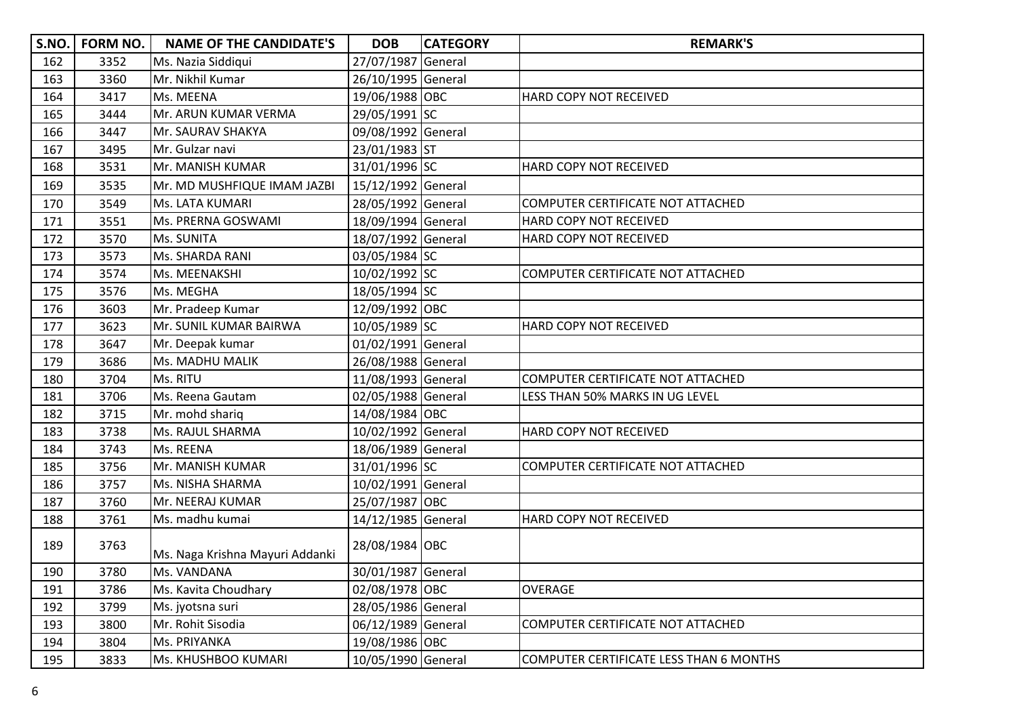| S.NO. | <b>FORM NO.</b> | <b>NAME OF THE CANDIDATE'S</b>  | <b>DOB</b>         | <b>CATEGORY</b> | <b>REMARK'S</b>                         |
|-------|-----------------|---------------------------------|--------------------|-----------------|-----------------------------------------|
| 162   | 3352            | Ms. Nazia Siddiqui              | 27/07/1987 General |                 |                                         |
| 163   | 3360            | Mr. Nikhil Kumar                | 26/10/1995 General |                 |                                         |
| 164   | 3417            | Ms. MEENA                       | 19/06/1988 OBC     |                 | HARD COPY NOT RECEIVED                  |
| 165   | 3444            | Mr. ARUN KUMAR VERMA            | 29/05/1991 SC      |                 |                                         |
| 166   | 3447            | Mr. SAURAV SHAKYA               | 09/08/1992 General |                 |                                         |
| 167   | 3495            | Mr. Gulzar navi                 | 23/01/1983 ST      |                 |                                         |
| 168   | 3531            | Mr. MANISH KUMAR                | 31/01/1996 SC      |                 | HARD COPY NOT RECEIVED                  |
| 169   | 3535            | Mr. MD MUSHFIQUE IMAM JAZBI     | 15/12/1992 General |                 |                                         |
| 170   | 3549            | Ms. LATA KUMARI                 | 28/05/1992 General |                 | COMPUTER CERTIFICATE NOT ATTACHED       |
| 171   | 3551            | Ms. PRERNA GOSWAMI              | 18/09/1994 General |                 | HARD COPY NOT RECEIVED                  |
| 172   | 3570            | Ms. SUNITA                      | 18/07/1992 General |                 | HARD COPY NOT RECEIVED                  |
| 173   | 3573            | Ms. SHARDA RANI                 | 03/05/1984 SC      |                 |                                         |
| 174   | 3574            | Ms. MEENAKSHI                   | 10/02/1992 SC      |                 | COMPUTER CERTIFICATE NOT ATTACHED       |
| 175   | 3576            | Ms. MEGHA                       | 18/05/1994 SC      |                 |                                         |
| 176   | 3603            | Mr. Pradeep Kumar               | 12/09/1992 OBC     |                 |                                         |
| 177   | 3623            | Mr. SUNIL KUMAR BAIRWA          | 10/05/1989 SC      |                 | HARD COPY NOT RECEIVED                  |
| 178   | 3647            | Mr. Deepak kumar                | 01/02/1991 General |                 |                                         |
| 179   | 3686            | Ms. MADHU MALIK                 | 26/08/1988 General |                 |                                         |
| 180   | 3704            | Ms. RITU                        | 11/08/1993 General |                 | COMPUTER CERTIFICATE NOT ATTACHED       |
| 181   | 3706            | Ms. Reena Gautam                | 02/05/1988 General |                 | LESS THAN 50% MARKS IN UG LEVEL         |
| 182   | 3715            | Mr. mohd shariq                 | 14/08/1984 OBC     |                 |                                         |
| 183   | 3738            | Ms. RAJUL SHARMA                | 10/02/1992 General |                 | HARD COPY NOT RECEIVED                  |
| 184   | 3743            | Ms. REENA                       | 18/06/1989 General |                 |                                         |
| 185   | 3756            | Mr. MANISH KUMAR                | 31/01/1996 SC      |                 | COMPUTER CERTIFICATE NOT ATTACHED       |
| 186   | 3757            | Ms. NISHA SHARMA                | 10/02/1991 General |                 |                                         |
| 187   | 3760            | Mr. NEERAJ KUMAR                | 25/07/1987 OBC     |                 |                                         |
| 188   | 3761            | Ms. madhu kumai                 | 14/12/1985 General |                 | HARD COPY NOT RECEIVED                  |
| 189   | 3763            | Ms. Naga Krishna Mayuri Addanki | 28/08/1984 OBC     |                 |                                         |
| 190   | 3780            | Ms. VANDANA                     | 30/01/1987 General |                 |                                         |
| 191   | 3786            | Ms. Kavita Choudhary            | 02/08/1978 OBC     |                 | <b>OVERAGE</b>                          |
| 192   | 3799            | Ms. jyotsna suri                | 28/05/1986 General |                 |                                         |
| 193   | 3800            | Mr. Rohit Sisodia               | 06/12/1989 General |                 | COMPUTER CERTIFICATE NOT ATTACHED       |
| 194   | 3804            | Ms. PRIYANKA                    | 19/08/1986 OBC     |                 |                                         |
| 195   | 3833            | Ms. KHUSHBOO KUMARI             | 10/05/1990 General |                 | COMPUTER CERTIFICATE LESS THAN 6 MONTHS |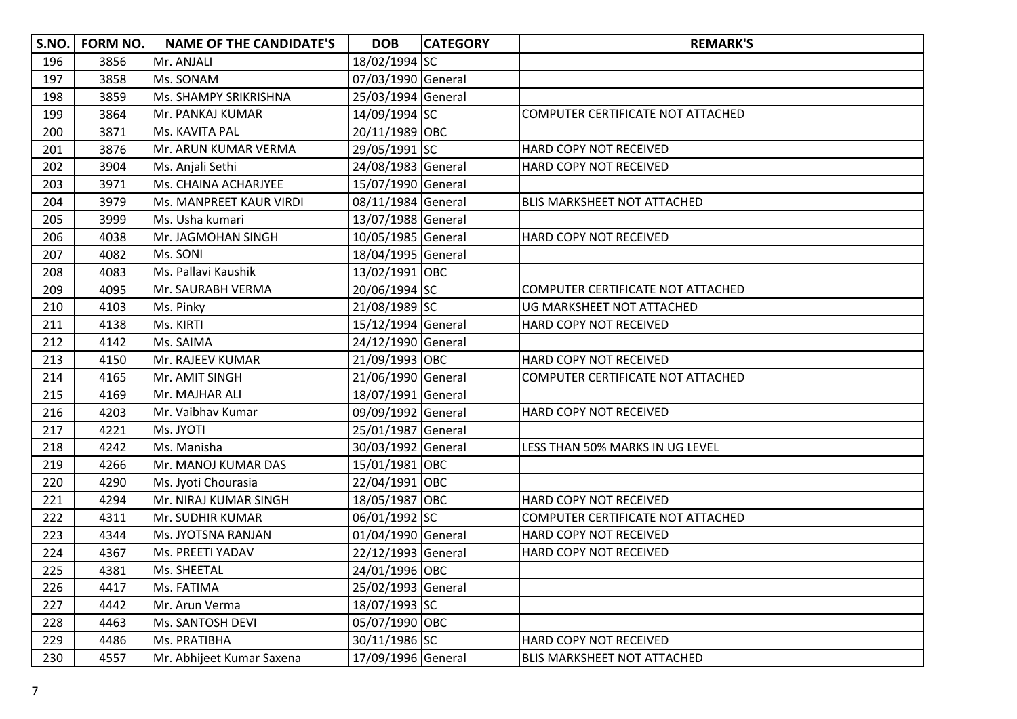| S.NO. | FORM NO. | <b>NAME OF THE CANDIDATE'S</b> | <b>DOB</b>         | <b>CATEGORY</b> | <b>REMARK'S</b>                    |
|-------|----------|--------------------------------|--------------------|-----------------|------------------------------------|
| 196   | 3856     | Mr. ANJALI                     | 18/02/1994 SC      |                 |                                    |
| 197   | 3858     | Ms. SONAM                      | 07/03/1990 General |                 |                                    |
| 198   | 3859     | Ms. SHAMPY SRIKRISHNA          | 25/03/1994 General |                 |                                    |
| 199   | 3864     | Mr. PANKAJ KUMAR               | 14/09/1994 SC      |                 | COMPUTER CERTIFICATE NOT ATTACHED  |
| 200   | 3871     | Ms. KAVITA PAL                 | 20/11/1989 OBC     |                 |                                    |
| 201   | 3876     | Mr. ARUN KUMAR VERMA           | 29/05/1991 SC      |                 | HARD COPY NOT RECEIVED             |
| 202   | 3904     | Ms. Anjali Sethi               | 24/08/1983 General |                 | HARD COPY NOT RECEIVED             |
| 203   | 3971     | Ms. CHAINA ACHARJYEE           | 15/07/1990 General |                 |                                    |
| 204   | 3979     | Ms. MANPREET KAUR VIRDI        | 08/11/1984 General |                 | <b>BLIS MARKSHEET NOT ATTACHED</b> |
| 205   | 3999     | Ms. Usha kumari                | 13/07/1988 General |                 |                                    |
| 206   | 4038     | Mr. JAGMOHAN SINGH             | 10/05/1985 General |                 | HARD COPY NOT RECEIVED             |
| 207   | 4082     | Ms. SONI                       | 18/04/1995 General |                 |                                    |
| 208   | 4083     | Ms. Pallavi Kaushik            | 13/02/1991 OBC     |                 |                                    |
| 209   | 4095     | Mr. SAURABH VERMA              | 20/06/1994 SC      |                 | COMPUTER CERTIFICATE NOT ATTACHED  |
| 210   | 4103     | Ms. Pinky                      | 21/08/1989 SC      |                 | UG MARKSHEET NOT ATTACHED          |
| 211   | 4138     | Ms. KIRTI                      | 15/12/1994 General |                 | HARD COPY NOT RECEIVED             |
| 212   | 4142     | Ms. SAIMA                      | 24/12/1990 General |                 |                                    |
| 213   | 4150     | Mr. RAJEEV KUMAR               | 21/09/1993 OBC     |                 | HARD COPY NOT RECEIVED             |
| 214   | 4165     | Mr. AMIT SINGH                 | 21/06/1990 General |                 | COMPUTER CERTIFICATE NOT ATTACHED  |
| 215   | 4169     | Mr. MAJHAR ALI                 | 18/07/1991 General |                 |                                    |
| 216   | 4203     | Mr. Vaibhav Kumar              | 09/09/1992 General |                 | HARD COPY NOT RECEIVED             |
| 217   | 4221     | Ms. JYOTI                      | 25/01/1987 General |                 |                                    |
| 218   | 4242     | Ms. Manisha                    | 30/03/1992 General |                 | LESS THAN 50% MARKS IN UG LEVEL    |
| 219   | 4266     | Mr. MANOJ KUMAR DAS            | 15/01/1981 OBC     |                 |                                    |
| 220   | 4290     | Ms. Jyoti Chourasia            | 22/04/1991 OBC     |                 |                                    |
| 221   | 4294     | Mr. NIRAJ KUMAR SINGH          | 18/05/1987 OBC     |                 | HARD COPY NOT RECEIVED             |
| 222   | 4311     | Mr. SUDHIR KUMAR               | 06/01/1992 SC      |                 | COMPUTER CERTIFICATE NOT ATTACHED  |
| 223   | 4344     | Ms. JYOTSNA RANJAN             | 01/04/1990 General |                 | HARD COPY NOT RECEIVED             |
| 224   | 4367     | Ms. PREETI YADAV               | 22/12/1993 General |                 | HARD COPY NOT RECEIVED             |
| 225   | 4381     | Ms. SHEETAL                    | 24/01/1996 OBC     |                 |                                    |
| 226   | 4417     | Ms. FATIMA                     | 25/02/1993 General |                 |                                    |
| 227   | 4442     | Mr. Arun Verma                 | 18/07/1993 SC      |                 |                                    |
| 228   | 4463     | Ms. SANTOSH DEVI               | 05/07/1990 OBC     |                 |                                    |
| 229   | 4486     | Ms. PRATIBHA                   | 30/11/1986 SC      |                 | HARD COPY NOT RECEIVED             |
| 230   | 4557     | Mr. Abhijeet Kumar Saxena      | 17/09/1996 General |                 | <b>BLIS MARKSHEET NOT ATTACHED</b> |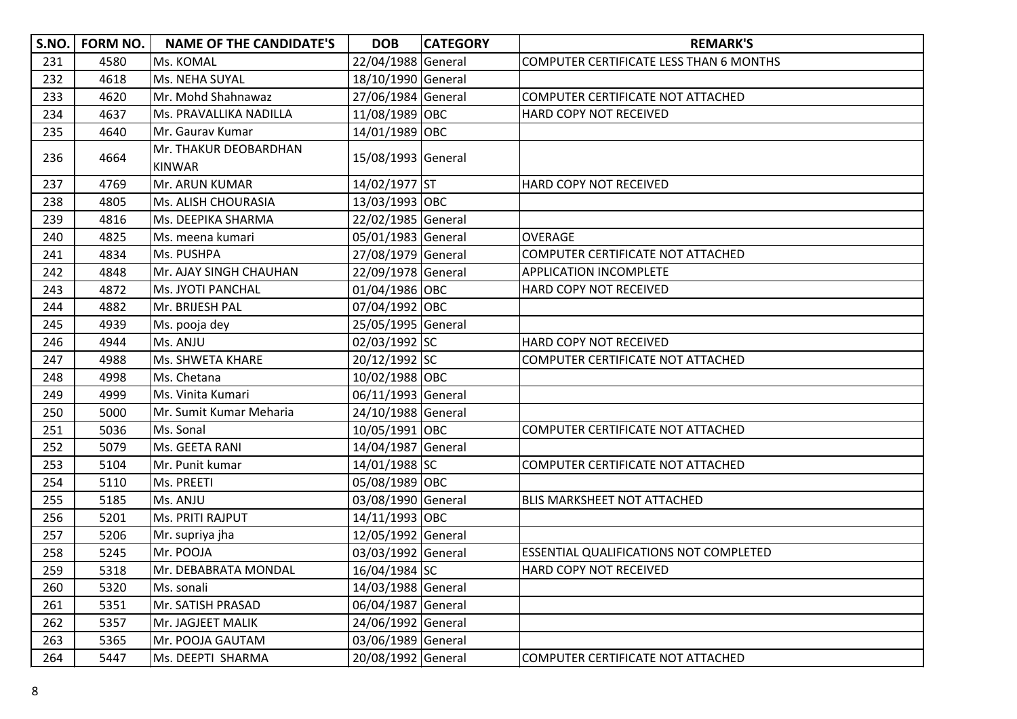| S.NO. | <b>FORM NO.</b> | <b>NAME OF THE CANDIDATE'S</b>         | <b>DOB</b>         | <b>CATEGORY</b> | <b>REMARK'S</b>                                |
|-------|-----------------|----------------------------------------|--------------------|-----------------|------------------------------------------------|
| 231   | 4580            | Ms. KOMAL                              | 22/04/1988 General |                 | <b>COMPUTER CERTIFICATE LESS THAN 6 MONTHS</b> |
| 232   | 4618            | Ms. NEHA SUYAL                         | 18/10/1990 General |                 |                                                |
| 233   | 4620            | Mr. Mohd Shahnawaz                     | 27/06/1984 General |                 | COMPUTER CERTIFICATE NOT ATTACHED              |
| 234   | 4637            | Ms. PRAVALLIKA NADILLA                 | 11/08/1989 OBC     |                 | HARD COPY NOT RECEIVED                         |
| 235   | 4640            | Mr. Gaurav Kumar                       | 14/01/1989 OBC     |                 |                                                |
| 236   | 4664            | Mr. THAKUR DEOBARDHAN<br><b>KINWAR</b> | 15/08/1993 General |                 |                                                |
| 237   | 4769            | Mr. ARUN KUMAR                         | 14/02/1977 ST      |                 | HARD COPY NOT RECEIVED                         |
| 238   | 4805            | <b>Ms. ALISH CHOURASIA</b>             | 13/03/1993 OBC     |                 |                                                |
| 239   | 4816            | Ms. DEEPIKA SHARMA                     | 22/02/1985 General |                 |                                                |
| 240   | 4825            | Ms. meena kumari                       | 05/01/1983 General |                 | <b>OVERAGE</b>                                 |
| 241   | 4834            | Ms. PUSHPA                             | 27/08/1979 General |                 | COMPUTER CERTIFICATE NOT ATTACHED              |
| 242   | 4848            | Mr. AJAY SINGH CHAUHAN                 | 22/09/1978 General |                 | <b>APPLICATION INCOMPLETE</b>                  |
| 243   | 4872            | <b>Ms. JYOTI PANCHAL</b>               | 01/04/1986 OBC     |                 | HARD COPY NOT RECEIVED                         |
| 244   | 4882            | Mr. BRIJESH PAL                        | 07/04/1992 OBC     |                 |                                                |
| 245   | 4939            | Ms. pooja dey                          | 25/05/1995 General |                 |                                                |
| 246   | 4944            | Ms. ANJU                               | 02/03/1992 SC      |                 | HARD COPY NOT RECEIVED                         |
| 247   | 4988            | <b>Ms. SHWETA KHARE</b>                | 20/12/1992 SC      |                 | COMPUTER CERTIFICATE NOT ATTACHED              |
| 248   | 4998            | Ms. Chetana                            | 10/02/1988 OBC     |                 |                                                |
| 249   | 4999            | Ms. Vinita Kumari                      | 06/11/1993 General |                 |                                                |
| 250   | 5000            | Mr. Sumit Kumar Meharia                | 24/10/1988 General |                 |                                                |
| 251   | 5036            | Ms. Sonal                              | 10/05/1991 OBC     |                 | COMPUTER CERTIFICATE NOT ATTACHED              |
| 252   | 5079            | Ms. GEETA RANI                         | 14/04/1987 General |                 |                                                |
| 253   | 5104            | Mr. Punit kumar                        | 14/01/1988 SC      |                 | COMPUTER CERTIFICATE NOT ATTACHED              |
| 254   | 5110            | Ms. PREETI                             | 05/08/1989 OBC     |                 |                                                |
| 255   | 5185            | Ms. ANJU                               | 03/08/1990 General |                 | <b>BLIS MARKSHEET NOT ATTACHED</b>             |
| 256   | 5201            | Ms. PRITI RAJPUT                       | 14/11/1993 OBC     |                 |                                                |
| 257   | 5206            | Mr. supriya jha                        | 12/05/1992 General |                 |                                                |
| 258   | 5245            | Mr. POOJA                              | 03/03/1992 General |                 | <b>ESSENTIAL QUALIFICATIONS NOT COMPLETED</b>  |
| 259   | 5318            | Mr. DEBABRATA MONDAL                   | 16/04/1984 SC      |                 | <b>HARD COPY NOT RECEIVED</b>                  |
| 260   | 5320            | Ms. sonali                             | 14/03/1988 General |                 |                                                |
| 261   | 5351            | Mr. SATISH PRASAD                      | 06/04/1987 General |                 |                                                |
| 262   | 5357            | Mr. JAGJEET MALIK                      | 24/06/1992 General |                 |                                                |
| 263   | 5365            | Mr. POOJA GAUTAM                       | 03/06/1989 General |                 |                                                |
| 264   | 5447            | Ms. DEEPTI SHARMA                      | 20/08/1992 General |                 | COMPUTER CERTIFICATE NOT ATTACHED              |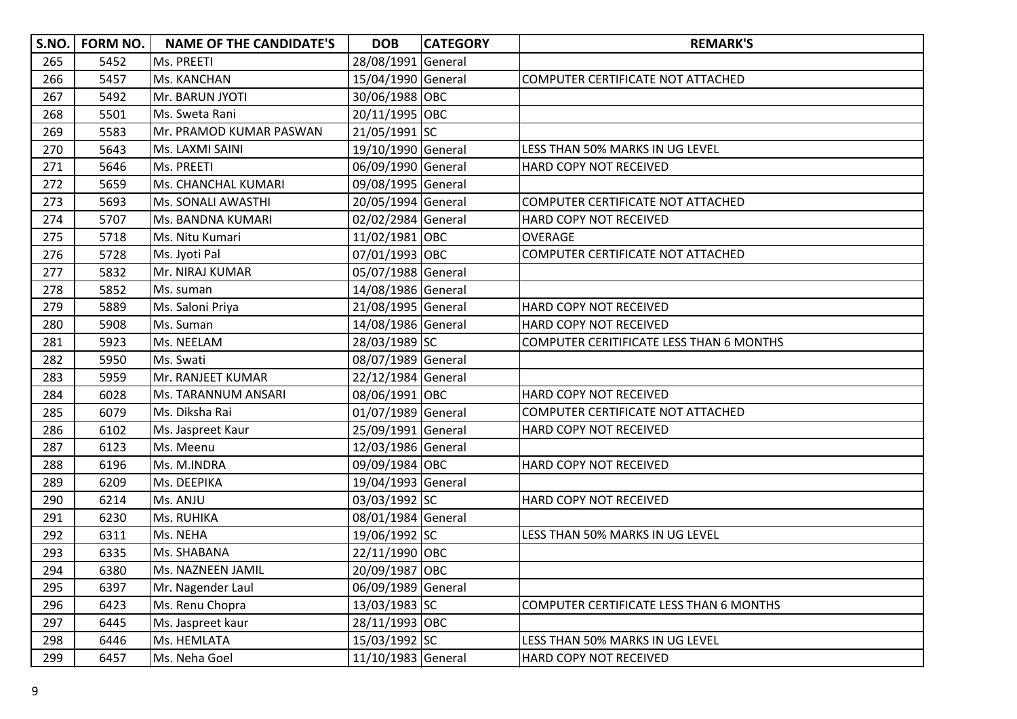| S.NO. | <b>FORM NO.</b> | <b>NAME OF THE CANDIDATE'S</b> | <b>DOB</b>         | <b>CATEGORY</b> | <b>REMARK'S</b>                                 |
|-------|-----------------|--------------------------------|--------------------|-----------------|-------------------------------------------------|
| 265   | 5452            | Ms. PREETI                     | 28/08/1991 General |                 |                                                 |
| 266   | 5457            | Ms. KANCHAN                    | 15/04/1990 General |                 | COMPUTER CERTIFICATE NOT ATTACHED               |
| 267   | 5492            | Mr. BARUN JYOTI                | 30/06/1988 OBC     |                 |                                                 |
| 268   | 5501            | Ms. Sweta Rani                 | 20/11/1995 OBC     |                 |                                                 |
| 269   | 5583            | Mr. PRAMOD KUMAR PASWAN        | 21/05/1991 SC      |                 |                                                 |
| 270   | 5643            | Ms. LAXMI SAINI                | 19/10/1990 General |                 | LESS THAN 50% MARKS IN UG LEVEL                 |
| 271   | 5646            | Ms. PREETI                     | 06/09/1990 General |                 | HARD COPY NOT RECEIVED                          |
| 272   | 5659            | Ms. CHANCHAL KUMARI            | 09/08/1995 General |                 |                                                 |
| 273   | 5693            | Ms. SONALI AWASTHI             | 20/05/1994 General |                 | COMPUTER CERTIFICATE NOT ATTACHED               |
| 274   | 5707            | Ms. BANDNA KUMARI              | 02/02/2984 General |                 | HARD COPY NOT RECEIVED                          |
| 275   | 5718            | Ms. Nitu Kumari                | 11/02/1981 OBC     |                 | OVERAGE                                         |
| 276   | 5728            | Ms. Jyoti Pal                  | 07/01/1993 OBC     |                 | COMPUTER CERTIFICATE NOT ATTACHED               |
| 277   | 5832            | Mr. NIRAJ KUMAR                | 05/07/1988 General |                 |                                                 |
| 278   | 5852            | Ms. suman                      | 14/08/1986 General |                 |                                                 |
| 279   | 5889            | Ms. Saloni Priya               | 21/08/1995 General |                 | HARD COPY NOT RECEIVED                          |
| 280   | 5908            | Ms. Suman                      | 14/08/1986 General |                 | HARD COPY NOT RECEIVED                          |
| 281   | 5923            | Ms. NEELAM                     | 28/03/1989 SC      |                 | <b>COMPUTER CERITIFICATE LESS THAN 6 MONTHS</b> |
| 282   | 5950            | Ms. Swati                      | 08/07/1989 General |                 |                                                 |
| 283   | 5959            | Mr. RANJEET KUMAR              | 22/12/1984 General |                 |                                                 |
| 284   | 6028            | Ms. TARANNUM ANSARI            | 08/06/1991 OBC     |                 | HARD COPY NOT RECEIVED                          |
| 285   | 6079            | Ms. Diksha Rai                 | 01/07/1989 General |                 | COMPUTER CERTIFICATE NOT ATTACHED               |
| 286   | 6102            | Ms. Jaspreet Kaur              | 25/09/1991 General |                 | HARD COPY NOT RECEIVED                          |
| 287   | 6123            | Ms. Meenu                      | 12/03/1986 General |                 |                                                 |
| 288   | 6196            | Ms. M.INDRA                    | 09/09/1984 OBC     |                 | HARD COPY NOT RECEIVED                          |
| 289   | 6209            | Ms. DEEPIKA                    | 19/04/1993 General |                 |                                                 |
| 290   | 6214            | Ms. ANJU                       | 03/03/1992 SC      |                 | HARD COPY NOT RECEIVED                          |
| 291   | 6230            | Ms. RUHIKA                     | 08/01/1984 General |                 |                                                 |
| 292   | 6311            | Ms. NEHA                       | 19/06/1992 SC      |                 | LESS THAN 50% MARKS IN UG LEVEL                 |
| 293   | 6335            | Ms. SHABANA                    | 22/11/1990 OBC     |                 |                                                 |
| 294   | 6380            | Ms. NAZNEEN JAMIL              | 20/09/1987 OBC     |                 |                                                 |
| 295   | 6397            | Mr. Nagender Laul              | 06/09/1989 General |                 |                                                 |
| 296   | 6423            | Ms. Renu Chopra                | 13/03/1983 SC      |                 | COMPUTER CERTIFICATE LESS THAN 6 MONTHS         |
| 297   | 6445            | Ms. Jaspreet kaur              | 28/11/1993 OBC     |                 |                                                 |
| 298   | 6446            | Ms. HEMLATA                    | 15/03/1992 SC      |                 | LESS THAN 50% MARKS IN UG LEVEL                 |
| 299   | 6457            | Ms. Neha Goel                  | 11/10/1983 General |                 | HARD COPY NOT RECEIVED                          |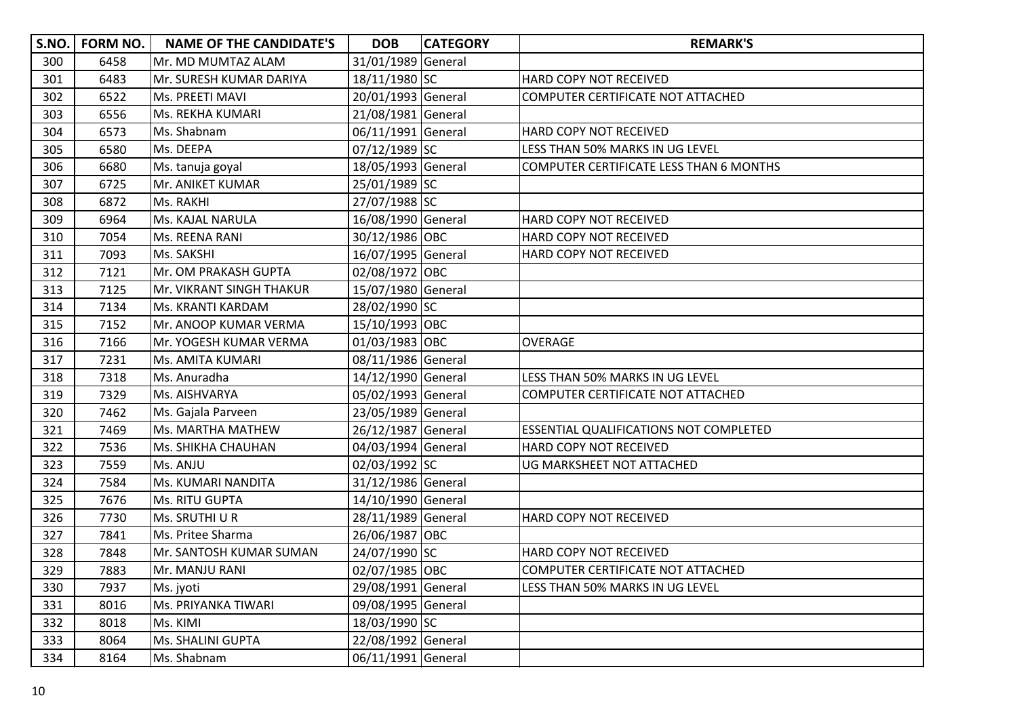|     | S.NO.   FORM NO. | <b>NAME OF THE CANDIDATE'S</b> | <b>DOB</b>         | <b>CATEGORY</b> | <b>REMARK'S</b>                               |
|-----|------------------|--------------------------------|--------------------|-----------------|-----------------------------------------------|
| 300 | 6458             | Mr. MD MUMTAZ ALAM             | 31/01/1989 General |                 |                                               |
| 301 | 6483             | Mr. SURESH KUMAR DARIYA        | 18/11/1980 SC      |                 | HARD COPY NOT RECEIVED                        |
| 302 | 6522             | Ms. PREETI MAVI                | 20/01/1993 General |                 | COMPUTER CERTIFICATE NOT ATTACHED             |
| 303 | 6556             | Ms. REKHA KUMARI               | 21/08/1981 General |                 |                                               |
| 304 | 6573             | Ms. Shabnam                    | 06/11/1991 General |                 | HARD COPY NOT RECEIVED                        |
| 305 | 6580             | Ms. DEEPA                      | 07/12/1989 SC      |                 | LESS THAN 50% MARKS IN UG LEVEL               |
| 306 | 6680             | Ms. tanuja goyal               | 18/05/1993 General |                 | COMPUTER CERTIFICATE LESS THAN 6 MONTHS       |
| 307 | 6725             | Mr. ANIKET KUMAR               | 25/01/1989 SC      |                 |                                               |
| 308 | 6872             | Ms. RAKHI                      | 27/07/1988 SC      |                 |                                               |
| 309 | 6964             | Ms. KAJAL NARULA               | 16/08/1990 General |                 | HARD COPY NOT RECEIVED                        |
| 310 | 7054             | Ms. REENA RANI                 | 30/12/1986 OBC     |                 | HARD COPY NOT RECEIVED                        |
| 311 | 7093             | Ms. SAKSHI                     | 16/07/1995 General |                 | HARD COPY NOT RECEIVED                        |
| 312 | 7121             | Mr. OM PRAKASH GUPTA           | 02/08/1972 OBC     |                 |                                               |
| 313 | 7125             | Mr. VIKRANT SINGH THAKUR       | 15/07/1980 General |                 |                                               |
| 314 | 7134             | Ms. KRANTI KARDAM              | 28/02/1990 SC      |                 |                                               |
| 315 | 7152             | Mr. ANOOP KUMAR VERMA          | 15/10/1993 OBC     |                 |                                               |
| 316 | 7166             | Mr. YOGESH KUMAR VERMA         | 01/03/1983 OBC     |                 | <b>OVERAGE</b>                                |
| 317 | 7231             | Ms. AMITA KUMARI               | 08/11/1986 General |                 |                                               |
| 318 | 7318             | Ms. Anuradha                   | 14/12/1990 General |                 | LESS THAN 50% MARKS IN UG LEVEL               |
| 319 | 7329             | Ms. AISHVARYA                  | 05/02/1993 General |                 | COMPUTER CERTIFICATE NOT ATTACHED             |
| 320 | 7462             | Ms. Gajala Parveen             | 23/05/1989 General |                 |                                               |
| 321 | 7469             | Ms. MARTHA MATHEW              | 26/12/1987 General |                 | <b>ESSENTIAL QUALIFICATIONS NOT COMPLETED</b> |
| 322 | 7536             | Ms. SHIKHA CHAUHAN             | 04/03/1994 General |                 | HARD COPY NOT RECEIVED                        |
| 323 | 7559             | Ms. ANJU                       | 02/03/1992 SC      |                 | UG MARKSHEET NOT ATTACHED                     |
| 324 | 7584             | Ms. KUMARI NANDITA             | 31/12/1986 General |                 |                                               |
| 325 | 7676             | Ms. RITU GUPTA                 | 14/10/1990 General |                 |                                               |
| 326 | 7730             | Ms. SRUTHI U R                 | 28/11/1989 General |                 | HARD COPY NOT RECEIVED                        |
| 327 | 7841             | Ms. Pritee Sharma              | 26/06/1987 OBC     |                 |                                               |
| 328 | 7848             | Mr. SANTOSH KUMAR SUMAN        | 24/07/1990 SC      |                 | HARD COPY NOT RECEIVED                        |
| 329 | 7883             | Mr. MANJU RANI                 | 02/07/1985 OBC     |                 | COMPUTER CERTIFICATE NOT ATTACHED             |
| 330 | 7937             | Ms. jyoti                      | 29/08/1991 General |                 | LESS THAN 50% MARKS IN UG LEVEL               |
| 331 | 8016             | Ms. PRIYANKA TIWARI            | 09/08/1995 General |                 |                                               |
| 332 | 8018             | Ms. KIMI                       | 18/03/1990 SC      |                 |                                               |
| 333 | 8064             | Ms. SHALINI GUPTA              | 22/08/1992 General |                 |                                               |
| 334 | 8164             | Ms. Shabnam                    | 06/11/1991 General |                 |                                               |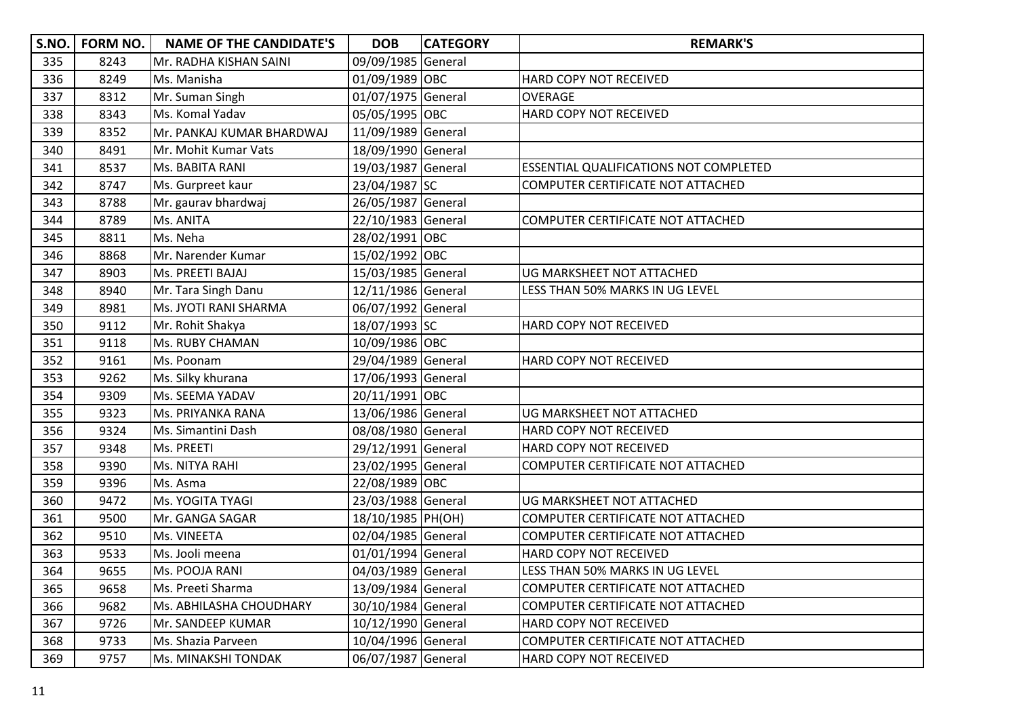| S.NO. | FORM NO. | <b>NAME OF THE CANDIDATE'S</b> | <b>DOB</b>         | <b>CATEGORY</b> | <b>REMARK'S</b>                               |
|-------|----------|--------------------------------|--------------------|-----------------|-----------------------------------------------|
| 335   | 8243     | Mr. RADHA KISHAN SAINI         | 09/09/1985 General |                 |                                               |
| 336   | 8249     | Ms. Manisha                    | 01/09/1989 OBC     |                 | HARD COPY NOT RECEIVED                        |
| 337   | 8312     | Mr. Suman Singh                | 01/07/1975 General |                 | <b>OVERAGE</b>                                |
| 338   | 8343     | Ms. Komal Yadav                | 05/05/1995 OBC     |                 | HARD COPY NOT RECEIVED                        |
| 339   | 8352     | Mr. PANKAJ KUMAR BHARDWAJ      | 11/09/1989 General |                 |                                               |
| 340   | 8491     | Mr. Mohit Kumar Vats           | 18/09/1990 General |                 |                                               |
| 341   | 8537     | Ms. BABITA RANI                | 19/03/1987 General |                 | <b>ESSENTIAL QUALIFICATIONS NOT COMPLETED</b> |
| 342   | 8747     | Ms. Gurpreet kaur              | 23/04/1987 SC      |                 | COMPUTER CERTIFICATE NOT ATTACHED             |
| 343   | 8788     | Mr. gaurav bhardwaj            | 26/05/1987 General |                 |                                               |
| 344   | 8789     | Ms. ANITA                      | 22/10/1983 General |                 | COMPUTER CERTIFICATE NOT ATTACHED             |
| 345   | 8811     | Ms. Neha                       | 28/02/1991 OBC     |                 |                                               |
| 346   | 8868     | Mr. Narender Kumar             | 15/02/1992 OBC     |                 |                                               |
| 347   | 8903     | Ms. PREETI BAJAJ               | 15/03/1985 General |                 | UG MARKSHEET NOT ATTACHED                     |
| 348   | 8940     | Mr. Tara Singh Danu            | 12/11/1986 General |                 | LESS THAN 50% MARKS IN UG LEVEL               |
| 349   | 8981     | Ms. JYOTI RANI SHARMA          | 06/07/1992 General |                 |                                               |
| 350   | 9112     | Mr. Rohit Shakya               | 18/07/1993 SC      |                 | HARD COPY NOT RECEIVED                        |
| 351   | 9118     | <b>Ms. RUBY CHAMAN</b>         | 10/09/1986 OBC     |                 |                                               |
| 352   | 9161     | Ms. Poonam                     | 29/04/1989 General |                 | HARD COPY NOT RECEIVED                        |
| 353   | 9262     | Ms. Silky khurana              | 17/06/1993 General |                 |                                               |
| 354   | 9309     | Ms. SEEMA YADAV                | 20/11/1991 OBC     |                 |                                               |
| 355   | 9323     | Ms. PRIYANKA RANA              | 13/06/1986 General |                 | UG MARKSHEET NOT ATTACHED                     |
| 356   | 9324     | Ms. Simantini Dash             | 08/08/1980 General |                 | HARD COPY NOT RECEIVED                        |
| 357   | 9348     | Ms. PREETI                     | 29/12/1991 General |                 | HARD COPY NOT RECEIVED                        |
| 358   | 9390     | Ms. NITYA RAHI                 | 23/02/1995 General |                 | COMPUTER CERTIFICATE NOT ATTACHED             |
| 359   | 9396     | Ms. Asma                       | 22/08/1989 OBC     |                 |                                               |
| 360   | 9472     | Ms. YOGITA TYAGI               | 23/03/1988 General |                 | UG MARKSHEET NOT ATTACHED                     |
| 361   | 9500     | Mr. GANGA SAGAR                | 18/10/1985 PH(OH)  |                 | COMPUTER CERTIFICATE NOT ATTACHED             |
| 362   | 9510     | Ms. VINEETA                    | 02/04/1985 General |                 | COMPUTER CERTIFICATE NOT ATTACHED             |
| 363   | 9533     | Ms. Jooli meena                | 01/01/1994 General |                 | HARD COPY NOT RECEIVED                        |
| 364   | 9655     | Ms. POOJA RANI                 | 04/03/1989 General |                 | LESS THAN 50% MARKS IN UG LEVEL               |
| 365   | 9658     | Ms. Preeti Sharma              | 13/09/1984 General |                 | COMPUTER CERTIFICATE NOT ATTACHED             |
| 366   | 9682     | Ms. ABHILASHA CHOUDHARY        | 30/10/1984 General |                 | COMPUTER CERTIFICATE NOT ATTACHED             |
| 367   | 9726     | Mr. SANDEEP KUMAR              | 10/12/1990 General |                 | HARD COPY NOT RECEIVED                        |
| 368   | 9733     | Ms. Shazia Parveen             | 10/04/1996 General |                 | COMPUTER CERTIFICATE NOT ATTACHED             |
| 369   | 9757     | Ms. MINAKSHI TONDAK            | 06/07/1987 General |                 | HARD COPY NOT RECEIVED                        |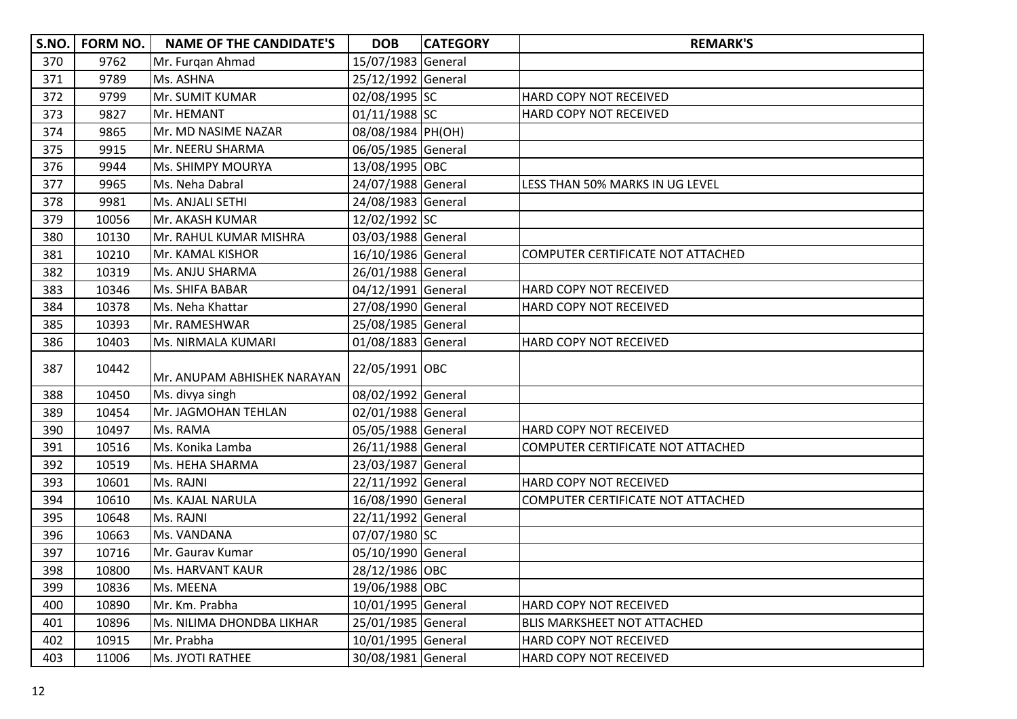| S.NO. | <b>FORM NO.</b> | <b>NAME OF THE CANDIDATE'S</b> | <b>DOB</b>         | <b>CATEGORY</b> | <b>REMARK'S</b>                    |
|-------|-----------------|--------------------------------|--------------------|-----------------|------------------------------------|
| 370   | 9762            | Mr. Furgan Ahmad               | 15/07/1983 General |                 |                                    |
| 371   | 9789            | Ms. ASHNA                      | 25/12/1992 General |                 |                                    |
| 372   | 9799            | Mr. SUMIT KUMAR                | 02/08/1995 SC      |                 | HARD COPY NOT RECEIVED             |
| 373   | 9827            | Mr. HEMANT                     | 01/11/1988 SC      |                 | HARD COPY NOT RECEIVED             |
| 374   | 9865            | Mr. MD NASIME NAZAR            | 08/08/1984 PH(OH)  |                 |                                    |
| 375   | 9915            | Mr. NEERU SHARMA               | 06/05/1985 General |                 |                                    |
| 376   | 9944            | Ms. SHIMPY MOURYA              | 13/08/1995 OBC     |                 |                                    |
| 377   | 9965            | Ms. Neha Dabral                | 24/07/1988 General |                 | LESS THAN 50% MARKS IN UG LEVEL    |
| 378   | 9981            | Ms. ANJALI SETHI               | 24/08/1983 General |                 |                                    |
| 379   | 10056           | Mr. AKASH KUMAR                | 12/02/1992 SC      |                 |                                    |
| 380   | 10130           | Mr. RAHUL KUMAR MISHRA         | 03/03/1988 General |                 |                                    |
| 381   | 10210           | Mr. KAMAL KISHOR               | 16/10/1986 General |                 | COMPUTER CERTIFICATE NOT ATTACHED  |
| 382   | 10319           | Ms. ANJU SHARMA                | 26/01/1988 General |                 |                                    |
| 383   | 10346           | Ms. SHIFA BABAR                | 04/12/1991 General |                 | HARD COPY NOT RECEIVED             |
| 384   | 10378           | Ms. Neha Khattar               | 27/08/1990 General |                 | HARD COPY NOT RECEIVED             |
| 385   | 10393           | Mr. RAMESHWAR                  | 25/08/1985 General |                 |                                    |
| 386   | 10403           | Ms. NIRMALA KUMARI             | 01/08/1883 General |                 | HARD COPY NOT RECEIVED             |
| 387   | 10442           | Mr. ANUPAM ABHISHEK NARAYAN    | 22/05/1991 OBC     |                 |                                    |
| 388   | 10450           | Ms. divya singh                | 08/02/1992 General |                 |                                    |
| 389   | 10454           | Mr. JAGMOHAN TEHLAN            | 02/01/1988 General |                 |                                    |
| 390   | 10497           | Ms. RAMA                       | 05/05/1988 General |                 | HARD COPY NOT RECEIVED             |
| 391   | 10516           | Ms. Konika Lamba               | 26/11/1988 General |                 | COMPUTER CERTIFICATE NOT ATTACHED  |
| 392   | 10519           | Ms. HEHA SHARMA                | 23/03/1987 General |                 |                                    |
| 393   | 10601           | Ms. RAJNI                      | 22/11/1992 General |                 | HARD COPY NOT RECEIVED             |
| 394   | 10610           | Ms. KAJAL NARULA               | 16/08/1990 General |                 | COMPUTER CERTIFICATE NOT ATTACHED  |
| 395   | 10648           | Ms. RAJNI                      | 22/11/1992 General |                 |                                    |
| 396   | 10663           | Ms. VANDANA                    | 07/07/1980 SC      |                 |                                    |
| 397   | 10716           | Mr. Gaurav Kumar               | 05/10/1990 General |                 |                                    |
| 398   | 10800           | Ms. HARVANT KAUR               | 28/12/1986 OBC     |                 |                                    |
| 399   | 10836           | Ms. MEENA                      | 19/06/1988 OBC     |                 |                                    |
| 400   | 10890           | Mr. Km. Prabha                 | 10/01/1995 General |                 | HARD COPY NOT RECEIVED             |
| 401   | 10896           | Ms. NILIMA DHONDBA LIKHAR      | 25/01/1985 General |                 | <b>BLIS MARKSHEET NOT ATTACHED</b> |
| 402   | 10915           | Mr. Prabha                     | 10/01/1995 General |                 | HARD COPY NOT RECEIVED             |
| 403   | 11006           | Ms. JYOTI RATHEE               | 30/08/1981 General |                 | HARD COPY NOT RECEIVED             |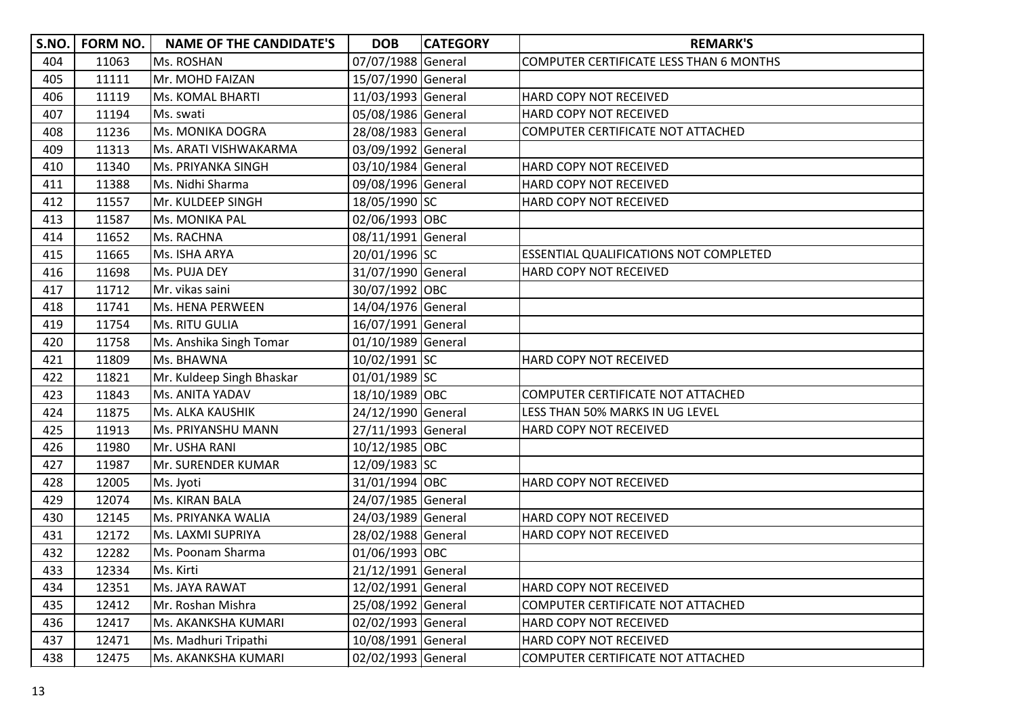| S.NO. | FORM NO. | <b>NAME OF THE CANDIDATE'S</b> | <b>DOB</b>         | <b>CATEGORY</b> | <b>REMARK'S</b>                                |
|-------|----------|--------------------------------|--------------------|-----------------|------------------------------------------------|
| 404   | 11063    | Ms. ROSHAN                     | 07/07/1988 General |                 | <b>COMPUTER CERTIFICATE LESS THAN 6 MONTHS</b> |
| 405   | 11111    | Mr. MOHD FAIZAN                | 15/07/1990 General |                 |                                                |
| 406   | 11119    | <b>Ms. KOMAL BHARTI</b>        | 11/03/1993 General |                 | HARD COPY NOT RECEIVED                         |
| 407   | 11194    | Ms. swati                      | 05/08/1986 General |                 | HARD COPY NOT RECEIVED                         |
| 408   | 11236    | <b>Ms. MONIKA DOGRA</b>        | 28/08/1983 General |                 | COMPUTER CERTIFICATE NOT ATTACHED              |
| 409   | 11313    | Ms. ARATI VISHWAKARMA          | 03/09/1992 General |                 |                                                |
| 410   | 11340    | Ms. PRIYANKA SINGH             | 03/10/1984 General |                 | HARD COPY NOT RECEIVED                         |
| 411   | 11388    | Ms. Nidhi Sharma               | 09/08/1996 General |                 | HARD COPY NOT RECEIVED                         |
| 412   | 11557    | Mr. KULDEEP SINGH              | 18/05/1990 SC      |                 | HARD COPY NOT RECEIVED                         |
| 413   | 11587    | <b>Ms. MONIKA PAL</b>          | 02/06/1993 OBC     |                 |                                                |
| 414   | 11652    | Ms. RACHNA                     | 08/11/1991 General |                 |                                                |
| 415   | 11665    | Ms. ISHA ARYA                  | 20/01/1996 SC      |                 | ESSENTIAL QUALIFICATIONS NOT COMPLETED         |
| 416   | 11698    | Ms. PUJA DEY                   | 31/07/1990 General |                 | HARD COPY NOT RECEIVED                         |
| 417   | 11712    | Mr. vikas saini                | 30/07/1992 OBC     |                 |                                                |
| 418   | 11741    | Ms. HENA PERWEEN               | 14/04/1976 General |                 |                                                |
| 419   | 11754    | Ms. RITU GULIA                 | 16/07/1991 General |                 |                                                |
| 420   | 11758    | Ms. Anshika Singh Tomar        | 01/10/1989 General |                 |                                                |
| 421   | 11809    | Ms. BHAWNA                     | 10/02/1991 SC      |                 | HARD COPY NOT RECEIVED                         |
| 422   | 11821    | Mr. Kuldeep Singh Bhaskar      | 01/01/1989 SC      |                 |                                                |
| 423   | 11843    | Ms. ANITA YADAV                | 18/10/1989 OBC     |                 | COMPUTER CERTIFICATE NOT ATTACHED              |
| 424   | 11875    | Ms. ALKA KAUSHIK               | 24/12/1990 General |                 | LESS THAN 50% MARKS IN UG LEVEL                |
| 425   | 11913    | Ms. PRIYANSHU MANN             | 27/11/1993 General |                 | HARD COPY NOT RECEIVED                         |
| 426   | 11980    | Mr. USHA RANI                  | 10/12/1985 OBC     |                 |                                                |
| 427   | 11987    | Mr. SURENDER KUMAR             | 12/09/1983 SC      |                 |                                                |
| 428   | 12005    | Ms. Jyoti                      | 31/01/1994 OBC     |                 | HARD COPY NOT RECEIVED                         |
| 429   | 12074    | Ms. KIRAN BALA                 | 24/07/1985 General |                 |                                                |
| 430   | 12145    | Ms. PRIYANKA WALIA             | 24/03/1989 General |                 | HARD COPY NOT RECEIVED                         |
| 431   | 12172    | Ms. LAXMI SUPRIYA              | 28/02/1988 General |                 | HARD COPY NOT RECEIVED                         |
| 432   | 12282    | Ms. Poonam Sharma              | 01/06/1993 OBC     |                 |                                                |
| 433   | 12334    | Ms. Kirti                      | 21/12/1991 General |                 |                                                |
| 434   | 12351    | Ms. JAYA RAWAT                 | 12/02/1991 General |                 | HARD COPY NOT RECEIVED                         |
| 435   | 12412    | Mr. Roshan Mishra              | 25/08/1992 General |                 | COMPUTER CERTIFICATE NOT ATTACHED              |
| 436   | 12417    | Ms. AKANKSHA KUMARI            | 02/02/1993 General |                 | HARD COPY NOT RECEIVED                         |
| 437   | 12471    | Ms. Madhuri Tripathi           | 10/08/1991 General |                 | HARD COPY NOT RECEIVED                         |
| 438   | 12475    | Ms. AKANKSHA KUMARI            | 02/02/1993 General |                 | COMPUTER CERTIFICATE NOT ATTACHED              |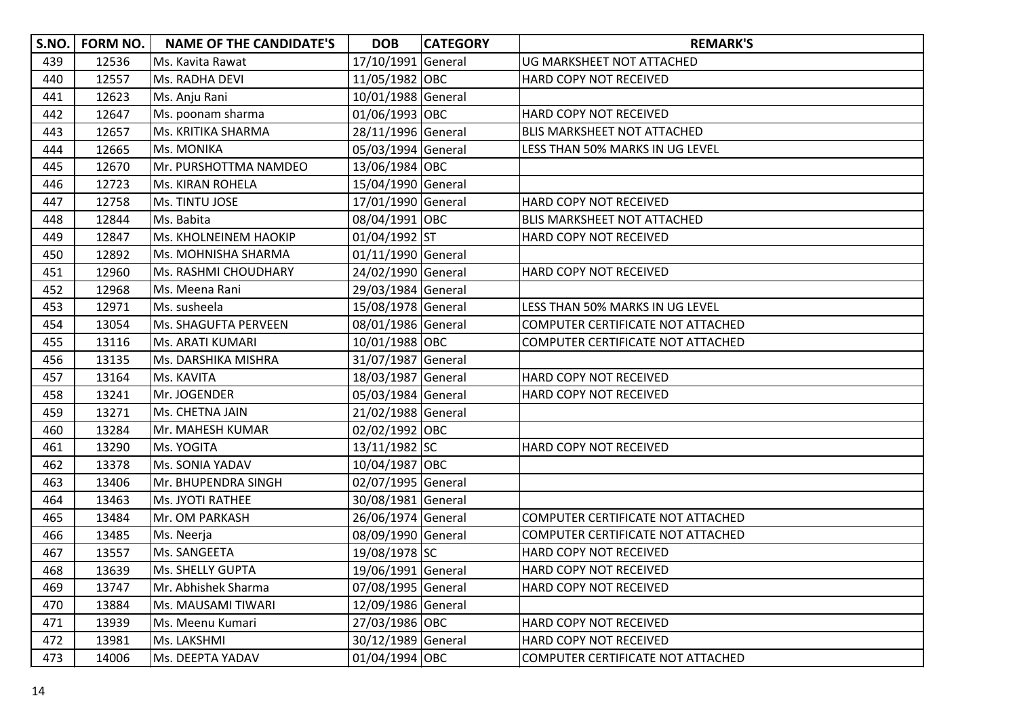| S.NO. | <b>FORM NO.</b> | <b>NAME OF THE CANDIDATE'S</b> | <b>DOB</b>         | <b>CATEGORY</b> | <b>REMARK'S</b>                    |
|-------|-----------------|--------------------------------|--------------------|-----------------|------------------------------------|
| 439   | 12536           | Ms. Kavita Rawat               | 17/10/1991 General |                 | UG MARKSHEET NOT ATTACHED          |
| 440   | 12557           | Ms. RADHA DEVI                 | 11/05/1982 OBC     |                 | HARD COPY NOT RECEIVED             |
| 441   | 12623           | Ms. Anju Rani                  | 10/01/1988 General |                 |                                    |
| 442   | 12647           | Ms. poonam sharma              | 01/06/1993 OBC     |                 | HARD COPY NOT RECEIVED             |
| 443   | 12657           | Ms. KRITIKA SHARMA             | 28/11/1996 General |                 | <b>BLIS MARKSHEET NOT ATTACHED</b> |
| 444   | 12665           | Ms. MONIKA                     | 05/03/1994 General |                 | LESS THAN 50% MARKS IN UG LEVEL    |
| 445   | 12670           | Mr. PURSHOTTMA NAMDEO          | 13/06/1984 OBC     |                 |                                    |
| 446   | 12723           | Ms. KIRAN ROHELA               | 15/04/1990 General |                 |                                    |
| 447   | 12758           | Ms. TINTU JOSE                 | 17/01/1990 General |                 | HARD COPY NOT RECEIVED             |
| 448   | 12844           | Ms. Babita                     | 08/04/1991 OBC     |                 | <b>BLIS MARKSHEET NOT ATTACHED</b> |
| 449   | 12847           | Ms. KHOLNEINEM HAOKIP          | 01/04/1992 ST      |                 | HARD COPY NOT RECEIVED             |
| 450   | 12892           | Ms. MOHNISHA SHARMA            | 01/11/1990 General |                 |                                    |
| 451   | 12960           | Ms. RASHMI CHOUDHARY           | 24/02/1990 General |                 | HARD COPY NOT RECEIVED             |
| 452   | 12968           | Ms. Meena Rani                 | 29/03/1984 General |                 |                                    |
| 453   | 12971           | Ms. susheela                   | 15/08/1978 General |                 | LESS THAN 50% MARKS IN UG LEVEL    |
| 454   | 13054           | Ms. SHAGUFTA PERVEEN           | 08/01/1986 General |                 | COMPUTER CERTIFICATE NOT ATTACHED  |
| 455   | 13116           | Ms. ARATI KUMARI               | 10/01/1988 OBC     |                 | COMPUTER CERTIFICATE NOT ATTACHED  |
| 456   | 13135           | Ms. DARSHIKA MISHRA            | 31/07/1987 General |                 |                                    |
| 457   | 13164           | Ms. KAVITA                     | 18/03/1987 General |                 | HARD COPY NOT RECEIVED             |
| 458   | 13241           | Mr. JOGENDER                   | 05/03/1984 General |                 | HARD COPY NOT RECEIVED             |
| 459   | 13271           | Ms. CHETNA JAIN                | 21/02/1988 General |                 |                                    |
| 460   | 13284           | Mr. MAHESH KUMAR               | 02/02/1992 OBC     |                 |                                    |
| 461   | 13290           | Ms. YOGITA                     | 13/11/1982 SC      |                 | HARD COPY NOT RECEIVED             |
| 462   | 13378           | Ms. SONIA YADAV                | 10/04/1987 OBC     |                 |                                    |
| 463   | 13406           | Mr. BHUPENDRA SINGH            | 02/07/1995 General |                 |                                    |
| 464   | 13463           | Ms. JYOTI RATHEE               | 30/08/1981 General |                 |                                    |
| 465   | 13484           | Mr. OM PARKASH                 | 26/06/1974 General |                 | COMPUTER CERTIFICATE NOT ATTACHED  |
| 466   | 13485           | Ms. Neerja                     | 08/09/1990 General |                 | COMPUTER CERTIFICATE NOT ATTACHED  |
| 467   | 13557           | Ms. SANGEETA                   | 19/08/1978 SC      |                 | HARD COPY NOT RECEIVED             |
| 468   | 13639           | Ms. SHELLY GUPTA               | 19/06/1991 General |                 | HARD COPY NOT RECEIVED             |
| 469   | 13747           | Mr. Abhishek Sharma            | 07/08/1995 General |                 | HARD COPY NOT RECEIVED             |
| 470   | 13884           | Ms. MAUSAMI TIWARI             | 12/09/1986 General |                 |                                    |
| 471   | 13939           | Ms. Meenu Kumari               | 27/03/1986 OBC     |                 | HARD COPY NOT RECEIVED             |
| 472   | 13981           | Ms. LAKSHMI                    | 30/12/1989 General |                 | HARD COPY NOT RECEIVED             |
| 473   | 14006           | Ms. DEEPTA YADAV               | 01/04/1994 OBC     |                 | COMPUTER CERTIFICATE NOT ATTACHED  |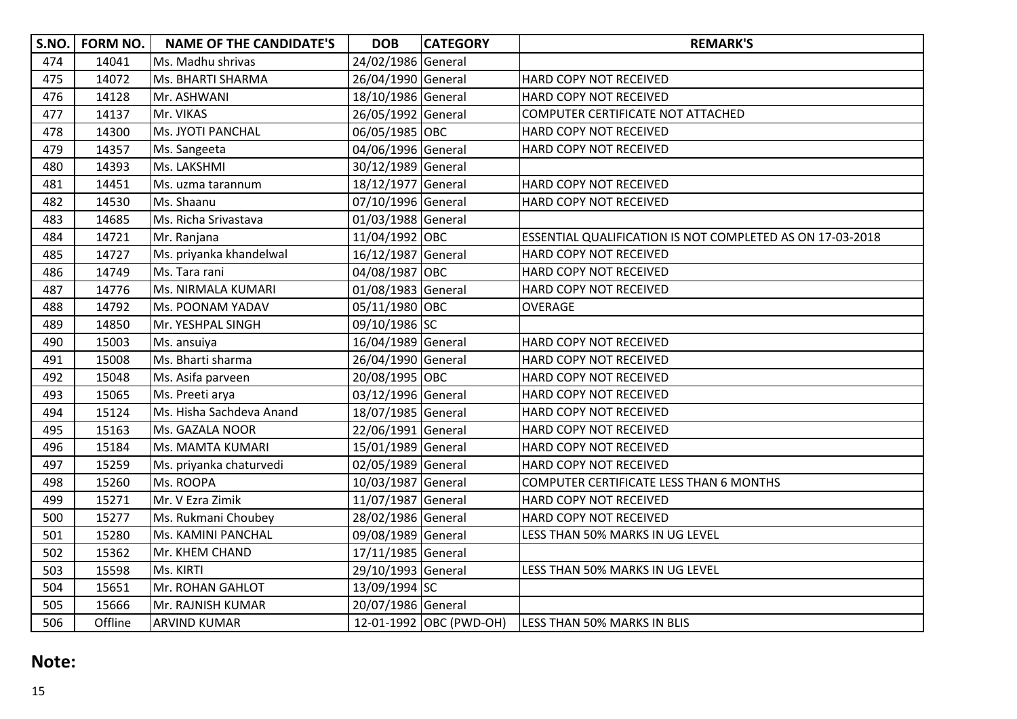| <b>S.NO.</b> | FORM NO. | <b>NAME OF THE CANDIDATE'S</b> | <b>DOB</b>         | <b>CATEGORY</b>         | <b>REMARK'S</b>                                           |
|--------------|----------|--------------------------------|--------------------|-------------------------|-----------------------------------------------------------|
| 474          | 14041    | Ms. Madhu shrivas              | 24/02/1986 General |                         |                                                           |
| 475          | 14072    | Ms. BHARTI SHARMA              | 26/04/1990 General |                         | HARD COPY NOT RECEIVED                                    |
| 476          | 14128    | Mr. ASHWANI                    | 18/10/1986 General |                         | HARD COPY NOT RECEIVED                                    |
| 477          | 14137    | Mr. VIKAS                      | 26/05/1992 General |                         | COMPUTER CERTIFICATE NOT ATTACHED                         |
| 478          | 14300    | Ms. JYOTI PANCHAL              | 06/05/1985 OBC     |                         | HARD COPY NOT RECEIVED                                    |
| 479          | 14357    | Ms. Sangeeta                   | 04/06/1996 General |                         | HARD COPY NOT RECEIVED                                    |
| 480          | 14393    | Ms. LAKSHMI                    | 30/12/1989 General |                         |                                                           |
| 481          | 14451    | Ms. uzma tarannum              | 18/12/1977 General |                         | HARD COPY NOT RECEIVED                                    |
| 482          | 14530    | Ms. Shaanu                     | 07/10/1996 General |                         | HARD COPY NOT RECEIVED                                    |
| 483          | 14685    | Ms. Richa Srivastava           | 01/03/1988 General |                         |                                                           |
| 484          | 14721    | Mr. Ranjana                    | 11/04/1992 OBC     |                         | ESSENTIAL QUALIFICATION IS NOT COMPLETED AS ON 17-03-2018 |
| 485          | 14727    | Ms. priyanka khandelwal        | 16/12/1987 General |                         | HARD COPY NOT RECEIVED                                    |
| 486          | 14749    | Ms. Tara rani                  | 04/08/1987 OBC     |                         | HARD COPY NOT RECEIVED                                    |
| 487          | 14776    | Ms. NIRMALA KUMARI             | 01/08/1983 General |                         | HARD COPY NOT RECEIVED                                    |
| 488          | 14792    | Ms. POONAM YADAV               | 05/11/1980 OBC     |                         | OVERAGE                                                   |
| 489          | 14850    | Mr. YESHPAL SINGH              | 09/10/1986 SC      |                         |                                                           |
| 490          | 15003    | Ms. ansuiya                    | 16/04/1989 General |                         | HARD COPY NOT RECEIVED                                    |
| 491          | 15008    | Ms. Bharti sharma              | 26/04/1990 General |                         | HARD COPY NOT RECEIVED                                    |
| 492          | 15048    | Ms. Asifa parveen              | 20/08/1995 OBC     |                         | HARD COPY NOT RECEIVED                                    |
| 493          | 15065    | Ms. Preeti arya                | 03/12/1996 General |                         | HARD COPY NOT RECEIVED                                    |
| 494          | 15124    | Ms. Hisha Sachdeva Anand       | 18/07/1985 General |                         | HARD COPY NOT RECEIVED                                    |
| 495          | 15163    | Ms. GAZALA NOOR                | 22/06/1991 General |                         | HARD COPY NOT RECEIVED                                    |
| 496          | 15184    | Ms. MAMTA KUMARI               | 15/01/1989 General |                         | HARD COPY NOT RECEIVED                                    |
| 497          | 15259    | Ms. priyanka chaturvedi        | 02/05/1989 General |                         | HARD COPY NOT RECEIVED                                    |
| 498          | 15260    | Ms. ROOPA                      | 10/03/1987 General |                         | COMPUTER CERTIFICATE LESS THAN 6 MONTHS                   |
| 499          | 15271    | Mr. V Ezra Zimik               | 11/07/1987 General |                         | HARD COPY NOT RECEIVED                                    |
| 500          | 15277    | Ms. Rukmani Choubey            | 28/02/1986 General |                         | HARD COPY NOT RECEIVED                                    |
| 501          | 15280    | Ms. KAMINI PANCHAL             | 09/08/1989 General |                         | LESS THAN 50% MARKS IN UG LEVEL                           |
| 502          | 15362    | Mr. KHEM CHAND                 | 17/11/1985 General |                         |                                                           |
| 503          | 15598    | Ms. KIRTI                      | 29/10/1993 General |                         | LESS THAN 50% MARKS IN UG LEVEL                           |
| 504          | 15651    | Mr. ROHAN GAHLOT               | 13/09/1994 SC      |                         |                                                           |
| 505          | 15666    | Mr. RAJNISH KUMAR              | 20/07/1986 General |                         |                                                           |
| 506          | Offline  | <b>ARVIND KUMAR</b>            |                    | 12-01-1992 OBC (PWD-OH) | <b>LESS THAN 50% MARKS IN BLIS</b>                        |

## **Note:**